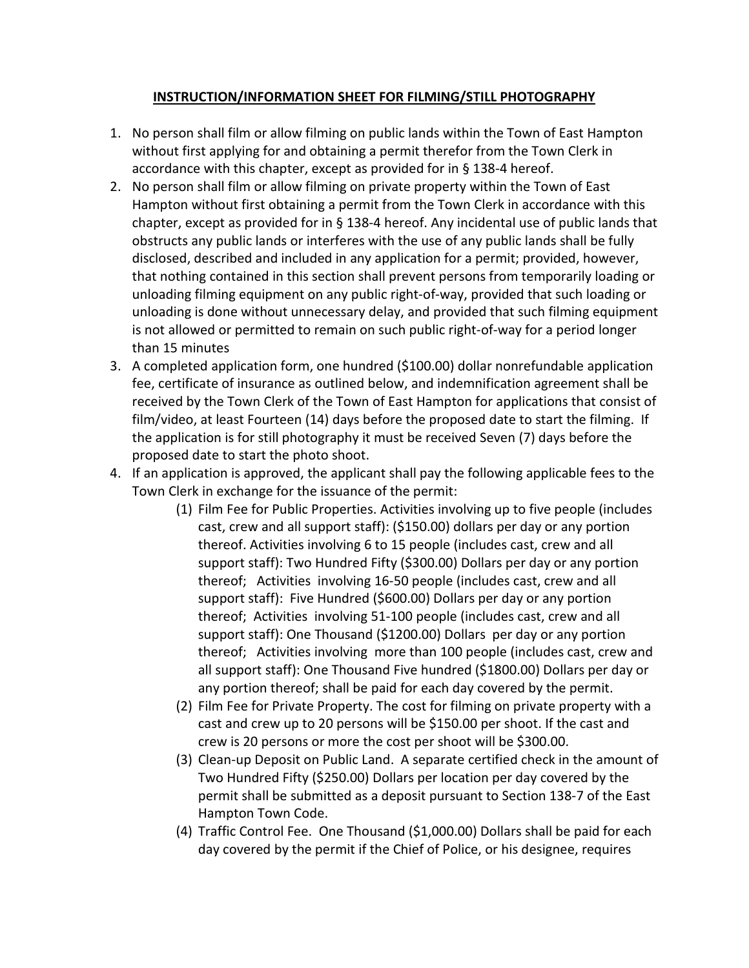## **INSTRUCTION/INFORMATION SHEET FOR FILMING/STILL PHOTOGRAPHY**

- 1. No person shall film or allow filming on public lands within the Town of East Hampton without first applying for and obtaining a permit therefor from the Town Clerk in accordance with this chapter, except as provided for in § 138-4 hereof.
- 2. No person shall film or allow filming on private property within the Town of East Hampton without first obtaining a permit from the Town Clerk in accordance with this chapter, except as provided for in § 138-4 hereof. Any incidental use of public lands that obstructs any public lands or interferes with the use of any public lands shall be fully disclosed, described and included in any application for a permit; provided, however, that nothing contained in this section shall prevent persons from temporarily loading or unloading filming equipment on any public right-of-way, provided that such loading or unloading is done without unnecessary delay, and provided that such filming equipment is not allowed or permitted to remain on such public right-of-way for a period longer than 15 minutes
- 3. A completed application form, one hundred (\$100.00) dollar nonrefundable application fee, certificate of insurance as outlined below, and indemnification agreement shall be received by the Town Clerk of the Town of East Hampton for applications that consist of film/video, at least Fourteen (14) days before the proposed date to start the filming. If the application is for still photography it must be received Seven (7) days before the proposed date to start the photo shoot.
- 4. If an application is approved, the applicant shall pay the following applicable fees to the Town Clerk in exchange for the issuance of the permit:
	- (1) Film Fee for Public Properties. Activities involving up to five people (includes cast, crew and all support staff): (\$150.00) dollars per day or any portion thereof. Activities involving 6 to 15 people (includes cast, crew and all support staff): Two Hundred Fifty (\$300.00) Dollars per day or any portion thereof; Activities involving 16-50 people (includes cast, crew and all support staff): Five Hundred (\$600.00) Dollars per day or any portion thereof; Activities involving 51-100 people (includes cast, crew and all support staff): One Thousand (\$1200.00) Dollars per day or any portion thereof; Activities involving more than 100 people (includes cast, crew and all support staff): One Thousand Five hundred (\$1800.00) Dollars per day or any portion thereof; shall be paid for each day covered by the permit.
	- (2) Film Fee for Private Property. The cost for filming on private property with a cast and crew up to 20 persons will be \$150.00 per shoot. If the cast and crew is 20 persons or more the cost per shoot will be \$300.00.
	- (3) Clean-up Deposit on Public Land. A separate certified check in the amount of Two Hundred Fifty (\$250.00) Dollars per location per day covered by the permit shall be submitted as a deposit pursuant to Section 138-7 of the East Hampton Town Code.
	- (4) Traffic Control Fee. One Thousand (\$1,000.00) Dollars shall be paid for each day covered by the permit if the Chief of Police, or his designee, requires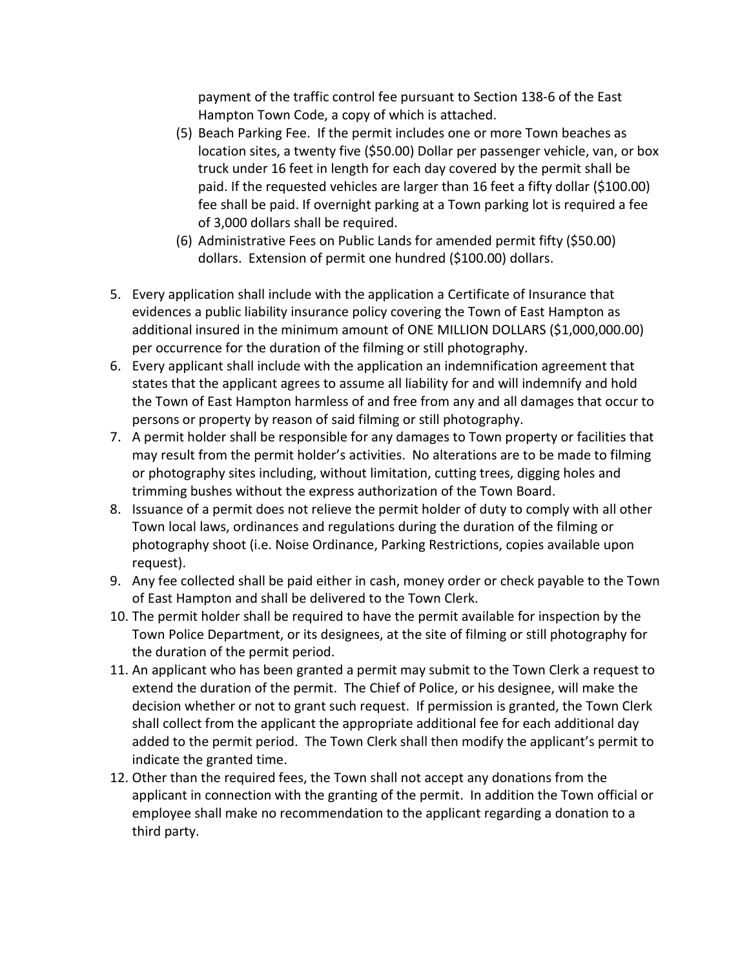payment of the traffic control fee pursuant to Section 138-6 of the East Hampton Town Code, a copy of which is attached.

- (5) Beach Parking Fee. If the permit includes one or more Town beaches as location sites, a twenty five (\$50.00) Dollar per passenger vehicle, van, or box truck under 16 feet in length for each day covered by the permit shall be paid. If the requested vehicles are larger than 16 feet a fifty dollar (\$100.00) fee shall be paid. If overnight parking at a Town parking lot is required a fee of 3,000 dollars shall be required.
- (6) Administrative Fees on Public Lands for amended permit fifty (\$50.00) dollars. Extension of permit one hundred (\$100.00) dollars.
- 5. Every application shall include with the application a Certificate of Insurance that evidences a public liability insurance policy covering the Town of East Hampton as additional insured in the minimum amount of ONE MILLION DOLLARS (\$1,000,000.00) per occurrence for the duration of the filming or still photography.
- 6. Every applicant shall include with the application an indemnification agreement that states that the applicant agrees to assume all liability for and will indemnify and hold the Town of East Hampton harmless of and free from any and all damages that occur to persons or property by reason of said filming or still photography.
- 7. A permit holder shall be responsible for any damages to Town property or facilities that may result from the permit holder's activities. No alterations are to be made to filming or photography sites including, without limitation, cutting trees, digging holes and trimming bushes without the express authorization of the Town Board.
- 8. Issuance of a permit does not relieve the permit holder of duty to comply with all other Town local laws, ordinances and regulations during the duration of the filming or photography shoot (i.e. Noise Ordinance, Parking Restrictions, copies available upon request).
- 9. Any fee collected shall be paid either in cash, money order or check payable to the Town of East Hampton and shall be delivered to the Town Clerk.
- 10. The permit holder shall be required to have the permit available for inspection by the Town Police Department, or its designees, at the site of filming or still photography for the duration of the permit period.
- 11. An applicant who has been granted a permit may submit to the Town Clerk a request to extend the duration of the permit. The Chief of Police, or his designee, will make the decision whether or not to grant such request. If permission is granted, the Town Clerk shall collect from the applicant the appropriate additional fee for each additional day added to the permit period. The Town Clerk shall then modify the applicant's permit to indicate the granted time.
- 12. Other than the required fees, the Town shall not accept any donations from the applicant in connection with the granting of the permit. In addition the Town official or employee shall make no recommendation to the applicant regarding a donation to a third party.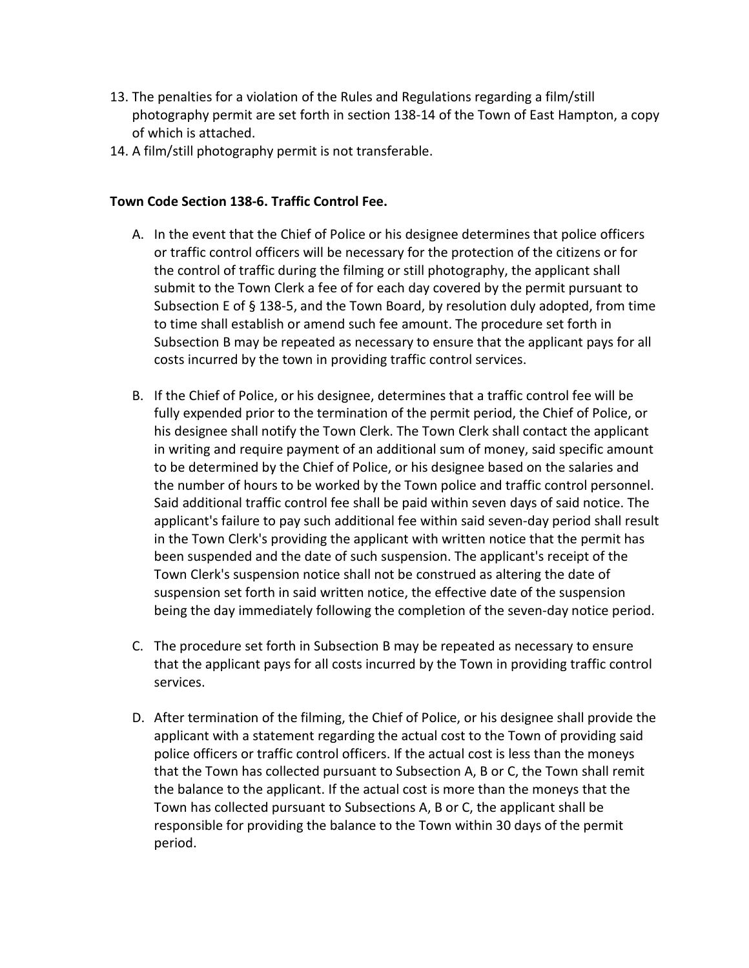- 13. The penalties for a violation of the Rules and Regulations regarding a film/still photography permit are set forth in section 138-14 of the Town of East Hampton, a copy of which is attached.
- 14. A film/still photography permit is not transferable.

### **Town Code Section 138-6. Traffic Control Fee.**

- A. In the event that the Chief of Police or his designee determines that police officers or traffic control officers will be necessary for the protection of the citizens or for the control of traffic during the filming or still photography, the applicant shall submit to the Town Clerk a fee of for each day covered by the permit pursuant to Subsection E of § 138-5, and the Town Board, by resolution duly adopted, from time to time shall establish or amend such fee amount. The procedure set forth in Subsection B may be repeated as necessary to ensure that the applicant pays for all costs incurred by the town in providing traffic control services.
- B. If the Chief of Police, or his designee, determines that a traffic control fee will be fully expended prior to the termination of the permit period, the Chief of Police, or his designee shall notify the Town Clerk. The Town Clerk shall contact the applicant in writing and require payment of an additional sum of money, said specific amount to be determined by the Chief of Police, or his designee based on the salaries and the number of hours to be worked by the Town police and traffic control personnel. Said additional traffic control fee shall be paid within seven days of said notice. The applicant's failure to pay such additional fee within said seven-day period shall result in the Town Clerk's providing the applicant with written notice that the permit has been suspended and the date of such suspension. The applicant's receipt of the Town Clerk's suspension notice shall not be construed as altering the date of suspension set forth in said written notice, the effective date of the suspension being the day immediately following the completion of the seven-day notice period.
- C. The procedure set forth in Subsection B may be repeated as necessary to ensure that the applicant pays for all costs incurred by the Town in providing traffic control services.
- D. After termination of the filming, the Chief of Police, or his designee shall provide the applicant with a statement regarding the actual cost to the Town of providing said police officers or traffic control officers. If the actual cost is less than the moneys that the Town has collected pursuant to Subsection A, B or C, the Town shall remit the balance to the applicant. If the actual cost is more than the moneys that the Town has collected pursuant to Subsections A, B or C, the applicant shall be responsible for providing the balance to the Town within 30 days of the permit period.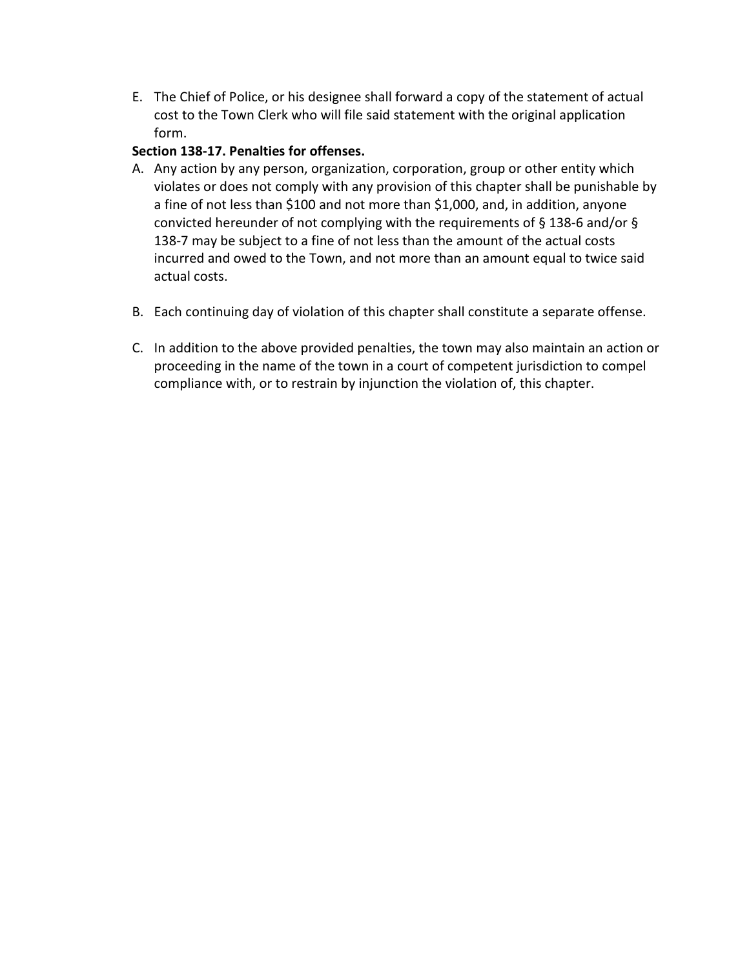E. The Chief of Police, or his designee shall forward a copy of the statement of actual cost to the Town Clerk who will file said statement with the original application form.

## **Section 138-17. Penalties for offenses.**

- A. Any action by any person, organization, corporation, group or other entity which violates or does not comply with any provision of this chapter shall be punishable by a fine of not less than \$100 and not more than \$1,000, and, in addition, anyone convicted hereunder of not complying with the requirements of § 138-6 and/or § 138-7 may be subject to a fine of not less than the amount of the actual costs incurred and owed to the Town, and not more than an amount equal to twice said actual costs.
- B. Each continuing day of violation of this chapter shall constitute a separate offense.
- C. In addition to the above provided penalties, the town may also maintain an action or proceeding in the name of the town in a court of competent jurisdiction to compel compliance with, or to restrain by injunction the violation of, this chapter.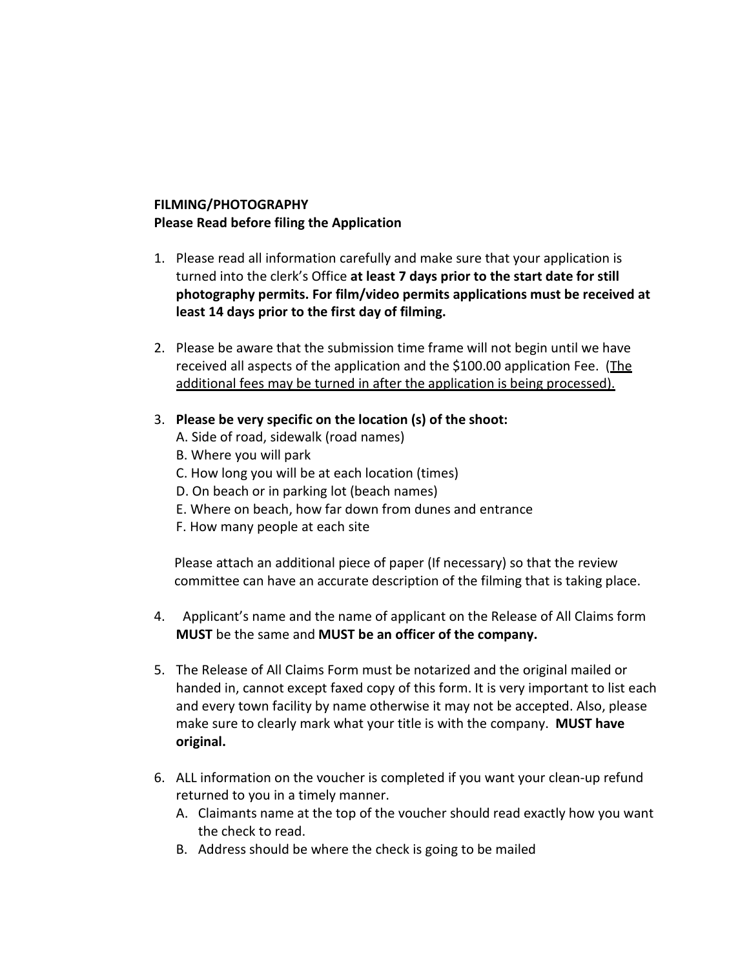# **FILMING/PHOTOGRAPHY Please Read before filing the Application**

- 1. Please read all information carefully and make sure that your application is turned into the clerk's Office **at least 7 days prior to the start date for still photography permits. For film/video permits applications must be received at least 14 days prior to the first day of filming.**
- 2. Please be aware that the submission time frame will not begin until we have received all aspects of the application and the \$100.00 application Fee. (The additional fees may be turned in after the application is being processed).
- 3. **Please be very specific on the location (s) of the shoot:**
	- A. Side of road, sidewalk (road names)
	- B. Where you will park
	- C. How long you will be at each location (times)
	- D. On beach or in parking lot (beach names)
	- E. Where on beach, how far down from dunes and entrance
	- F. How many people at each site

Please attach an additional piece of paper (If necessary) so that the review committee can have an accurate description of the filming that is taking place.

- 4. Applicant's name and the name of applicant on the Release of All Claims form **MUST** be the same and **MUST be an officer of the company.**
- 5. The Release of All Claims Form must be notarized and the original mailed or handed in, cannot except faxed copy of this form. It is very important to list each and every town facility by name otherwise it may not be accepted. Also, please make sure to clearly mark what your title is with the company. **MUST have original.**
- 6. ALL information on the voucher is completed if you want your clean-up refund returned to you in a timely manner.
	- A. Claimants name at the top of the voucher should read exactly how you want the check to read.
	- B. Address should be where the check is going to be mailed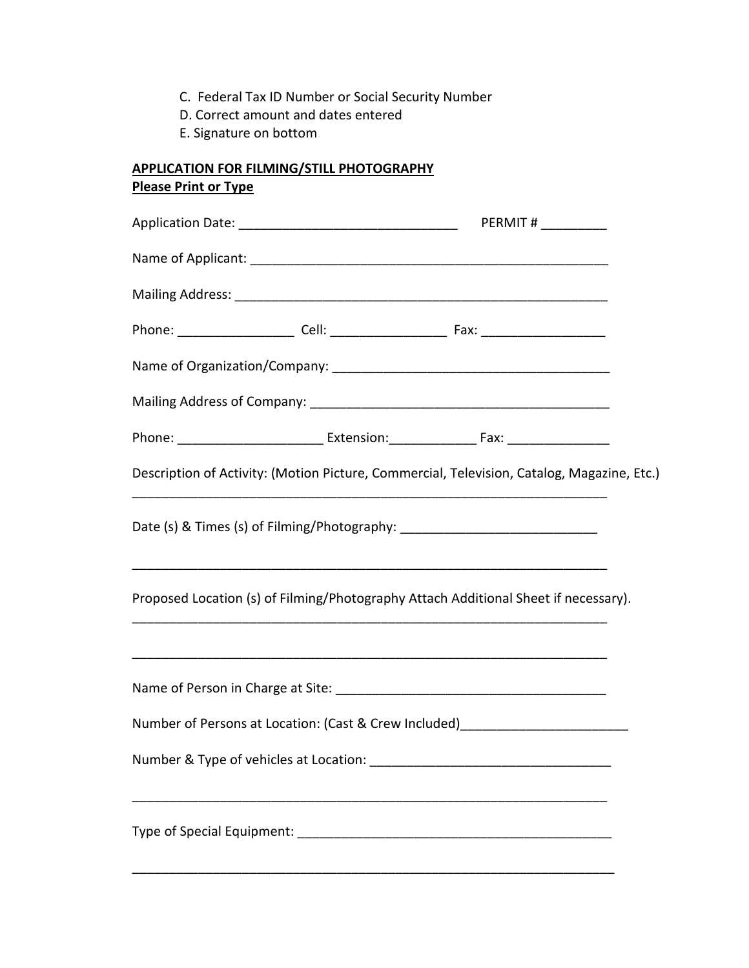- C. Federal Tax ID Number or Social Security Number
- D. Correct amount and dates entered
- E. Signature on bottom

# **APPLICATION FOR FILMING/STILL PHOTOGRAPHY Please Print or Type**

|  |  | Description of Activity: (Motion Picture, Commercial, Television, Catalog, Magazine, Etc.) |  |
|--|--|--------------------------------------------------------------------------------------------|--|
|  |  | Date (s) & Times (s) of Filming/Photography: ___________________________________           |  |
|  |  | Proposed Location (s) of Filming/Photography Attach Additional Sheet if necessary).        |  |
|  |  |                                                                                            |  |
|  |  | Number of Persons at Location: (Cast & Crew Included)___________________________           |  |
|  |  |                                                                                            |  |
|  |  |                                                                                            |  |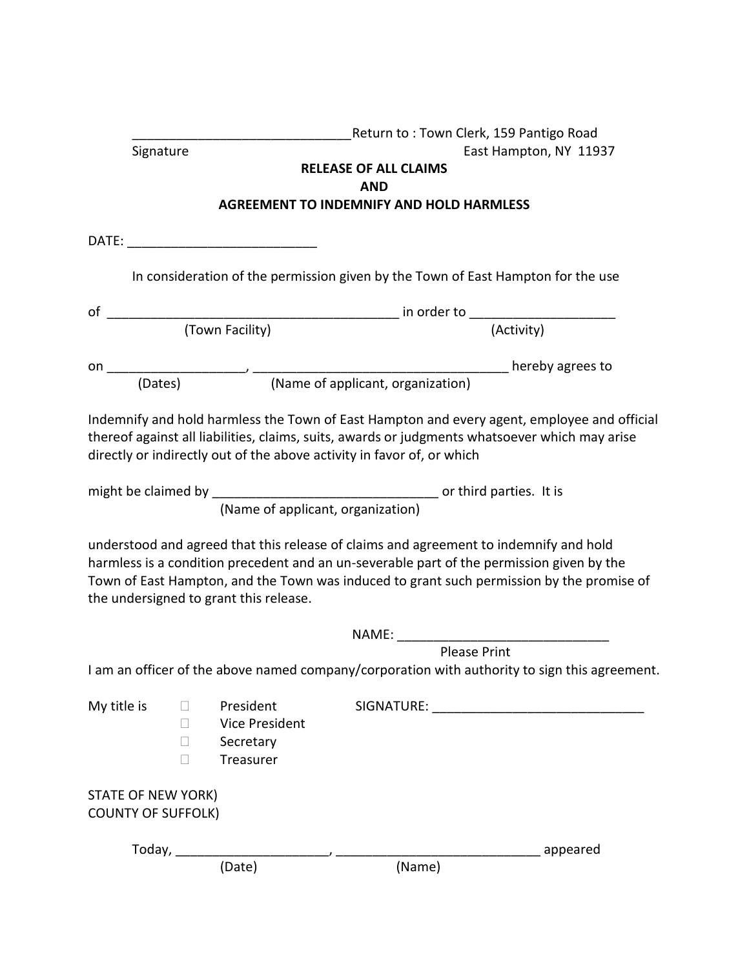|                           |                  |                                        |                                                                        | Return to : Town Clerk, 159 Pantigo Road                                                                                                                                                                                                                                        |
|---------------------------|------------------|----------------------------------------|------------------------------------------------------------------------|---------------------------------------------------------------------------------------------------------------------------------------------------------------------------------------------------------------------------------------------------------------------------------|
| Signature                 |                  |                                        |                                                                        | East Hampton, NY 11937                                                                                                                                                                                                                                                          |
|                           |                  |                                        | <b>RELEASE OF ALL CLAIMS</b>                                           |                                                                                                                                                                                                                                                                                 |
|                           |                  |                                        | <b>AND</b><br><b>AGREEMENT TO INDEMNIFY AND HOLD HARMLESS</b>          |                                                                                                                                                                                                                                                                                 |
|                           |                  |                                        |                                                                        |                                                                                                                                                                                                                                                                                 |
|                           |                  |                                        |                                                                        |                                                                                                                                                                                                                                                                                 |
|                           |                  |                                        |                                                                        |                                                                                                                                                                                                                                                                                 |
|                           |                  |                                        |                                                                        | In consideration of the permission given by the Town of East Hampton for the use                                                                                                                                                                                                |
|                           |                  |                                        |                                                                        |                                                                                                                                                                                                                                                                                 |
|                           |                  |                                        |                                                                        |                                                                                                                                                                                                                                                                                 |
|                           |                  |                                        |                                                                        |                                                                                                                                                                                                                                                                                 |
|                           |                  |                                        |                                                                        |                                                                                                                                                                                                                                                                                 |
|                           |                  |                                        |                                                                        |                                                                                                                                                                                                                                                                                 |
|                           |                  |                                        | directly or indirectly out of the above activity in favor of, or which | Indemnify and hold harmless the Town of East Hampton and every agent, employee and official<br>thereof against all liabilities, claims, suits, awards or judgments whatsoever which may arise                                                                                   |
|                           |                  |                                        |                                                                        |                                                                                                                                                                                                                                                                                 |
|                           |                  | (Name of applicant, organization)      |                                                                        |                                                                                                                                                                                                                                                                                 |
|                           |                  |                                        |                                                                        |                                                                                                                                                                                                                                                                                 |
|                           |                  | the undersigned to grant this release. |                                                                        | understood and agreed that this release of claims and agreement to indemnify and hold<br>harmless is a condition precedent and an un-severable part of the permission given by the<br>Town of East Hampton, and the Town was induced to grant such permission by the promise of |
|                           |                  |                                        |                                                                        |                                                                                                                                                                                                                                                                                 |
|                           |                  |                                        |                                                                        | <b>Please Print</b>                                                                                                                                                                                                                                                             |
|                           |                  |                                        |                                                                        | I am an officer of the above named company/corporation with authority to sign this agreement.                                                                                                                                                                                   |
|                           |                  |                                        |                                                                        |                                                                                                                                                                                                                                                                                 |
| My title is               | $\Box$           | President                              |                                                                        |                                                                                                                                                                                                                                                                                 |
|                           | $\Box$<br>$\Box$ | Vice President<br>Secretary            |                                                                        |                                                                                                                                                                                                                                                                                 |
|                           | П                | Treasurer                              |                                                                        |                                                                                                                                                                                                                                                                                 |
|                           |                  |                                        |                                                                        |                                                                                                                                                                                                                                                                                 |
| <b>STATE OF NEW YORK)</b> |                  |                                        |                                                                        |                                                                                                                                                                                                                                                                                 |
| <b>COUNTY OF SUFFOLK)</b> |                  |                                        |                                                                        |                                                                                                                                                                                                                                                                                 |
|                           |                  |                                        |                                                                        |                                                                                                                                                                                                                                                                                 |
|                           |                  | (Date)                                 | (Name)                                                                 | _______ appeared                                                                                                                                                                                                                                                                |
|                           |                  |                                        |                                                                        |                                                                                                                                                                                                                                                                                 |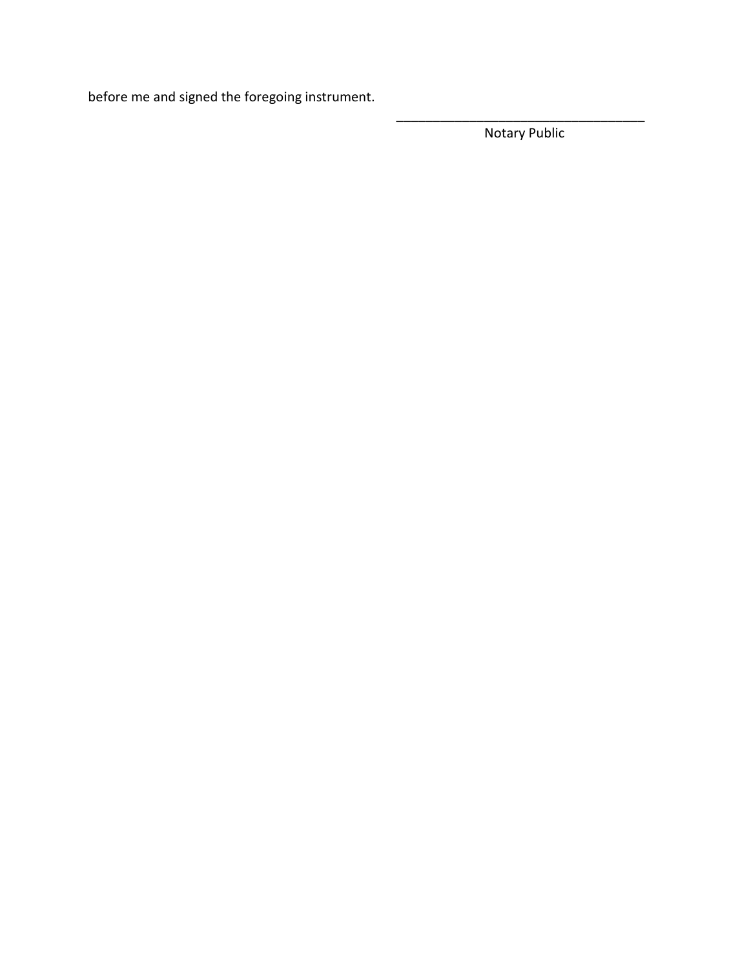before me and signed the foregoing instrument.

\_\_\_\_\_\_\_\_\_\_\_\_\_\_\_\_\_\_\_\_\_\_\_\_\_\_\_\_\_\_\_\_\_\_ Notary Public